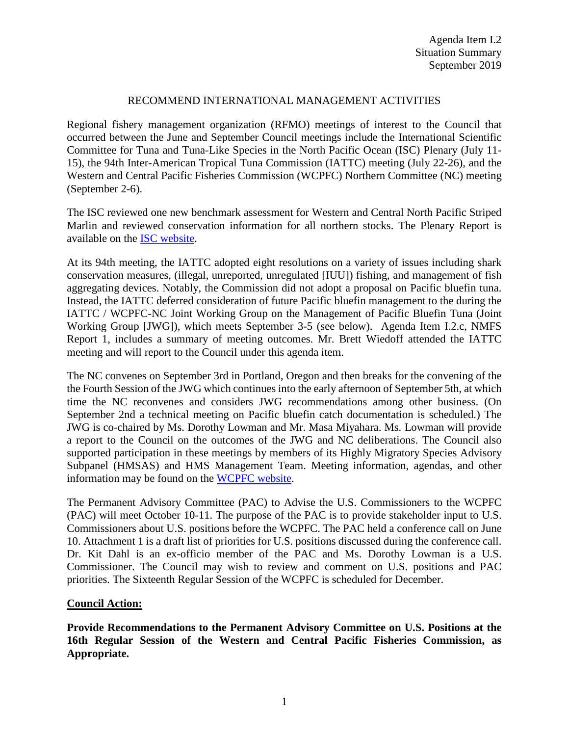## RECOMMEND INTERNATIONAL MANAGEMENT ACTIVITIES

Regional fishery management organization (RFMO) meetings of interest to the Council that occurred between the June and September Council meetings include the International Scientific Committee for Tuna and Tuna-Like Species in the North Pacific Ocean (ISC) Plenary (July 11- 15), the 94th Inter-American Tropical Tuna Commission (IATTC) meeting (July 22-26), and the Western and Central Pacific Fisheries Commission (WCPFC) Northern Committee (NC) meeting (September 2-6).

The ISC reviewed one new benchmark assessment for Western and Central North Pacific Striped Marlin and reviewed conservation information for all northern stocks. The Plenary Report is available on the [ISC website.](http://isc.fra.go.jp/pdf/ISC19/ISC19_PLENARY_Report_FINAL.pdf)

At its 94th meeting, the IATTC adopted eight resolutions on a variety of issues including shark conservation measures, (illegal, unreported, unregulated [IUU]) fishing, and management of fish aggregating devices. Notably, the Commission did not adopt a proposal on Pacific bluefin tuna. Instead, the IATTC deferred consideration of future Pacific bluefin management to the during the IATTC / WCPFC-NC Joint Working Group on the Management of Pacific Bluefin Tuna (Joint Working Group [JWG]), which meets September 3-5 (see below). Agenda Item I.2.c, NMFS Report 1, includes a summary of meeting outcomes. Mr. Brett Wiedoff attended the IATTC meeting and will report to the Council under this agenda item.

The NC convenes on September 3rd in Portland, Oregon and then breaks for the convening of the the Fourth Session of the JWG which continues into the early afternoon of September 5th, at which time the NC reconvenes and considers JWG recommendations among other business. (On September 2nd a technical meeting on Pacific bluefin catch documentation is scheduled.) The JWG is co-chaired by Ms. Dorothy Lowman and Mr. Masa Miyahara. Ms. Lowman will provide a report to the Council on the outcomes of the JWG and NC deliberations. The Council also supported participation in these meetings by members of its Highly Migratory Species Advisory Subpanel (HMSAS) and HMS Management Team. Meeting information, agendas, and other information may be found on the [WCPFC website.](https://www.wcpfc.int/meetings/nc15)

The Permanent Advisory Committee (PAC) to Advise the U.S. Commissioners to the WCPFC (PAC) will meet October 10-11. The purpose of the PAC is to provide stakeholder input to U.S. Commissioners about U.S. positions before the WCPFC. The PAC held a conference call on June 10. Attachment 1 is a draft list of priorities for U.S. positions discussed during the conference call. Dr. Kit Dahl is an ex-officio member of the PAC and Ms. Dorothy Lowman is a U.S. Commissioner. The Council may wish to review and comment on U.S. positions and PAC priorities. The Sixteenth Regular Session of the WCPFC is scheduled for December.

## **Council Action:**

**Provide Recommendations to the Permanent Advisory Committee on U.S. Positions at the 16th Regular Session of the Western and Central Pacific Fisheries Commission, as Appropriate.**